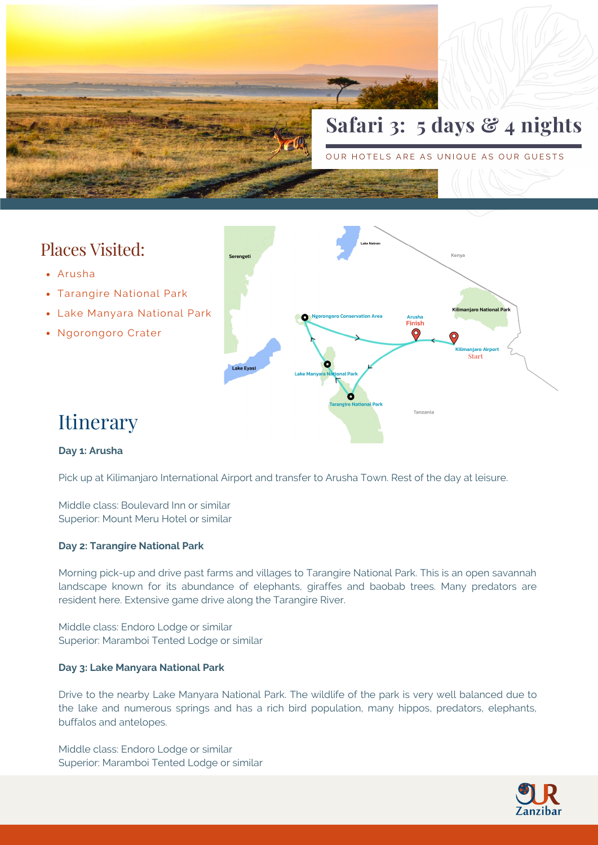

# Places Visited:

- Arusha
- Tarangire National Park
- Lake Manyara National Park
- Ngorongoro Crater



# Itinerary

### **Day 1: Arusha**

Pick up at Kilimanjaro International Airport and transfer to Arusha Town. Rest of the day at leisure.

Middle class: Boulevard Inn or similar Superior: Mount Meru Hotel or similar

#### **Day 2: Tarangire National Park**

Morning pick-up and drive past farms and villages to Tarangire National Park. This is an open savannah landscape known for its abundance of elephants, giraffes and baobab trees. Many predators are resident here. Extensive game drive along the Tarangire River.

Middle class: Endoro Lodge or similar Superior: Maramboi Tented Lodge or similar

#### **Day 3: Lake Manyara National Park**

Drive to the nearby Lake Manyara National Park. The wildlife of the park is very well balanced due to the lake and numerous springs and has a rich bird population, many hippos, predators, elephants, buffalos and antelopes.

Middle class: Endoro Lodge or similar Superior: Maramboi Tented Lodge or similar